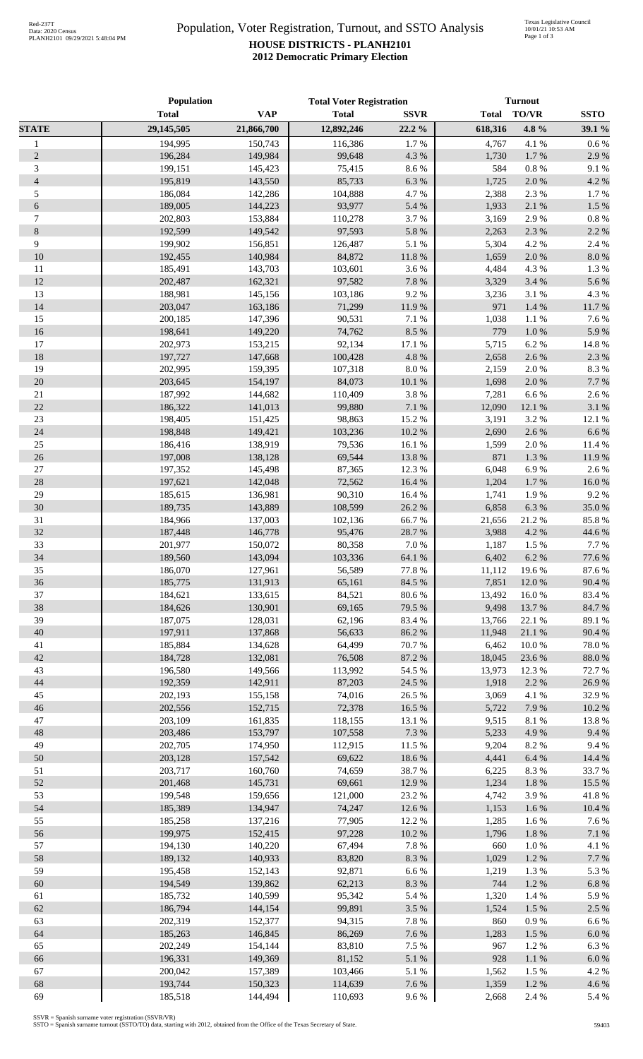## Population, Voter Registration, Turnout, and SSTO Analysis **HOUSE DISTRICTS - PLANH2101 2012 Democratic Primary Election**

|                | Population   |            | <b>Total Voter Registration</b> |             | <b>Turnout</b> |              |             |
|----------------|--------------|------------|---------------------------------|-------------|----------------|--------------|-------------|
|                | <b>Total</b> | <b>VAP</b> | <b>Total</b>                    | <b>SSVR</b> | <b>Total</b>   | <b>TO/VR</b> | <b>SSTO</b> |
| <b>STATE</b>   | 29,145,505   | 21,866,700 | 12,892,246                      | $22.2\%$    | 618,316        | 4.8 %        | 39.1 %      |
| $\mathbf{1}$   | 194,995      | 150,743    | 116,386                         | 1.7%        | 4,767          | 4.1 %        | 0.6 %       |
| $\sqrt{2}$     | 196,284      | 149,984    | 99,648                          | 4.3 %       | 1,730          | 1.7%         | 2.9%        |
| 3              | 199,151      | 145,423    | 75,415                          | 8.6%        | 584            | $0.8~\%$     | 9.1%        |
| $\overline{4}$ | 195,819      | 143,550    | 85,733                          | 6.3%        | 1,725          | 2.0%         | 4.2 %       |
| 5              | 186,084      | 142,286    | 104,888                         | 4.7%        | 2,388          | 2.3 %        | 1.7%        |
| $\epsilon$     | 189,005      | 144,223    | 93,977                          | 5.4 %       | 1,933          | 2.1 %        | 1.5 %       |
| $\tau$         | 202,803      | 153,884    | 110,278                         | 3.7%        | 3,169          | 2.9%         | 0.8%        |
| $8\,$          | 192,599      | 149,542    | 97,593                          | 5.8%        | 2,263          | 2.3 %        | 2.2 %       |
| 9              | 199,902      | 156,851    | 126,487                         | 5.1 %       | 5,304          | 4.2 %        | 2.4 %       |
| 10             | 192,455      | 140,984    | 84,872                          | $11.8\ \%$  | 1,659          | 2.0%         | 8.0%        |
| 11             | 185,491      | 143,703    | 103,601                         | 3.6%        | 4,484          | 4.3 %        | 1.3%        |
| 12             | 202,487      | 162,321    | 97,582                          | 7.8 %       | 3,329          | 3.4 %        | 5.6%        |
| 13             | 188,981      | 145,156    | 103,186                         | 9.2 %       | 3,236          | 3.1 %        | 4.3 %       |
| 14             | 203,047      | 163,186    | 71,299                          | 11.9%       | 971            | 1.4 %        | 11.7%       |
| 15             | 200,185      | 147,396    | 90,531                          | 7.1 %       | 1,038          | 1.1 %        | 7.6 %       |
| 16             | 198,641      | 149,220    | 74,762                          | 8.5 %       | 779            | 1.0 %        | 5.9%        |
| 17             | 202,973      | 153,215    | 92,134                          | 17.1 %      | 5,715          | 6.2%         | 14.8%       |
| 18             | 197,727      | 147,668    | 100,428                         | 4.8 %       | 2,658          | 2.6%         | 2.3 %       |
| 19             | 202,995      | 159,395    | 107,318                         | $8.0\ \%$   | 2,159          | 2.0%         | 8.3%        |
| 20             | 203,645      | 154,197    | 84,073                          | 10.1%       | 1,698          | 2.0%         | 7.7 %       |
| $21\,$         | 187,992      | 144,682    | 110,409                         | 3.8%        | 7,281          | 6.6%         | 2.6%        |
| 22             | 186,322      | 141,013    | 99,880                          | $7.1~\%$    | 12,090         | 12.1 %       | 3.1 %       |
| 23             | 198,405      | 151,425    | 98,863                          | 15.2 %      | 3,191          | 3.2 %        | 12.1 %      |
| 24             | 198,848      | 149,421    | 103,236                         | $10.2~\%$   | 2,690          | 2.6%         | 6.6%        |
| $25\,$         | 186,416      | 138,919    | 79,536                          | 16.1 %      | 1,599          | 2.0%         | 11.4 %      |
| $26\,$         | 197,008      | 138,128    | 69,544                          | 13.8 %      | 871            | 1.3%         | 11.9%       |
| $27\,$         | 197,352      | 145,498    | 87,365                          | 12.3 %      | 6,048          | 6.9%         | 2.6 %       |
| 28             | 197,621      | 142,048    | 72,562                          | 16.4 %      | 1,204          | 1.7%         | 16.0%       |
| 29             | 185,615      | 136,981    | 90,310                          | 16.4%       | 1,741          | 1.9%         | 9.2%        |
| 30             | 189,735      | 143,889    | 108,599                         | 26.2%       | 6,858          | 6.3%         | 35.0%       |
| 31             | 184,966      | 137,003    | 102,136                         | 66.7%       | 21,656         | 21.2%        | 85.8%       |
| 32             | 187,448      | 146,778    | 95,476                          | 28.7%       | 3,988          | 4.2 %        | 44.6 %      |
| 33             | 201,977      | 150,072    | 80,358                          | $7.0\ \%$   | 1,187          | 1.5 %        | 7.7 %       |
| 34             | 189,560      | 143,094    | 103,336                         | 64.1%       | 6,402          | 6.2%         | 77.6 %      |
| 35             | 186,070      | 127,961    | 56,589                          | $77.8~\%$   | 11,112         | 19.6%        | 87.6%       |
| 36             | 185,775      | 131,913    | 65,161                          | 84.5 %      | 7,851          | 12.0%        | 90.4 %      |
| 37             | 184,621      | 133,615    | 84,521                          | $80.6\;\%$  | 13,492         | $16.0\ \%$   | 83.4 %      |
| 38             | 184,626      | 130,901    | 69,165                          | 79.5 %      | 9,498          | 13.7%        | 84.7%       |
| 39             | 187,075      | 128,031    | 62,196                          | 83.4%       | 13,766         | 22.1 %       | 89.1 %      |
| 40             | 197,911      | 137,868    | 56,633                          | 86.2%       | 11,948         | $21.1\ \%$   | 90.4 %      |
| 41             | 185,884      | 134,628    | 64,499                          | 70.7%       | 6,462          | 10.0 %       | 78.0%       |
| 42             | 184,728      | 132,081    | 76,508                          | 87.2 %      | 18,045         | 23.6 %       | 88.0%       |
| 43             | 196,580      | 149,566    | 113,992                         | 54.5 %      | 13,973         | 12.3 %       | 72.7 %      |
| 44             | 192,359      | 142,911    | 87,203                          | 24.5 %      | 1,918          | 2.2 %        | 26.9%       |
| 45             | 202,193      | 155,158    | 74,016                          | 26.5 %      | 3,069          | 4.1 %        | 32.9%       |
| 46             | 202,556      | 152,715    | 72,378                          | 16.5 %      | 5,722          | 7.9%         | 10.2%       |
| $47\,$         | 203,109      | 161,835    | 118,155                         | 13.1 %      | 9,515          | $8.1~\%$     | 13.8%       |
| 48             | 203,486      | 153,797    | 107,558                         | 7.3 %       | 5,233          | 4.9%         | 9.4%        |
| 49             | 202,705      | 174,950    | 112,915                         | 11.5 %      | 9,204          | 8.2%         | 9.4%        |
| 50             | 203,128      | 157,542    | 69,622                          | 18.6 %      | 4,441          | 6.4 %        | 14.4 %      |
| 51             | 203,717      | 160,760    | 74,659                          | 38.7%       | 6,225          | 8.3%         | 33.7%       |
| 52             | 201,468      | 145,731    | 69,661                          | 12.9%       | 1,234          | 1.8 %        | 15.5 %      |
| 53             | 199,548      | 159,656    | 121,000                         | 23.2 %      | 4,742          | 3.9%         | 41.8%       |
| 54             | 185,389      | 134,947    | 74,247                          | 12.6 %      | 1,153          | 1.6%         | 10.4 %      |
| 55             | 185,258      | 137,216    | 77,905                          | 12.2 %      | 1,285          | 1.6 %        | 7.6 %       |
| 56             | 199,975      | 152,415    | 97,228                          | $10.2~\%$   | 1,796          | 1.8 %        | 7.1 %       |
| 57             | 194,130      | 140,220    | 67,494                          | 7.8%        | 660            | 1.0%         | 4.1 %       |
| 58             | 189,132      | 140,933    | 83,820                          | $8.3~\%$    | 1,029          | 1.2%         | 7.7 %       |
| 59             | 195,458      | 152,143    | 92,871                          | $6.6\ \%$   | 1,219          | 1.3%         | 5.3 %       |
| 60             | 194,549      | 139,862    | 62,213                          | $8.3~\%$    | 744            | 1.2%         | 6.8%        |
| 61             | 185,732      | 140,599    | 95,342                          | 5.4 %       | 1,320          | 1.4 %        | 5.9%        |
| 62             | 186,794      | 144,154    | 99,891                          | 3.5 %       | 1,524          | 1.5 %        | 2.5 %       |
| 63             | 202,319      | 152,377    | 94,315                          | 7.8 %       | 860            | 0.9%         | 6.6%        |
| 64             | 185,263      | 146,845    | 86,269                          | 7.6 %       | 1,283          | $1.5~\%$     | 6.0%        |
| 65             | 202,249      | 154,144    | 83,810                          | 7.5 %       | 967            | 1.2%         | 6.3%        |
| 66             | 196,331      | 149,369    | 81,152                          | 5.1 %       | 928            | $1.1~\%$     | 6.0%        |
| 67             | 200,042      | 157,389    | 103,466                         | 5.1 %       | 1,562          | 1.5 %        | 4.2 %       |
| 68             | 193,744      | 150,323    | 114,639                         | 7.6 %       | 1,359          | 1.2%         | 4.6%        |
| 69             | 185,518      | 144,494    | 110,693                         | $9.6\,\%$   | 2,668          | 2.4 %        | 5.4 %       |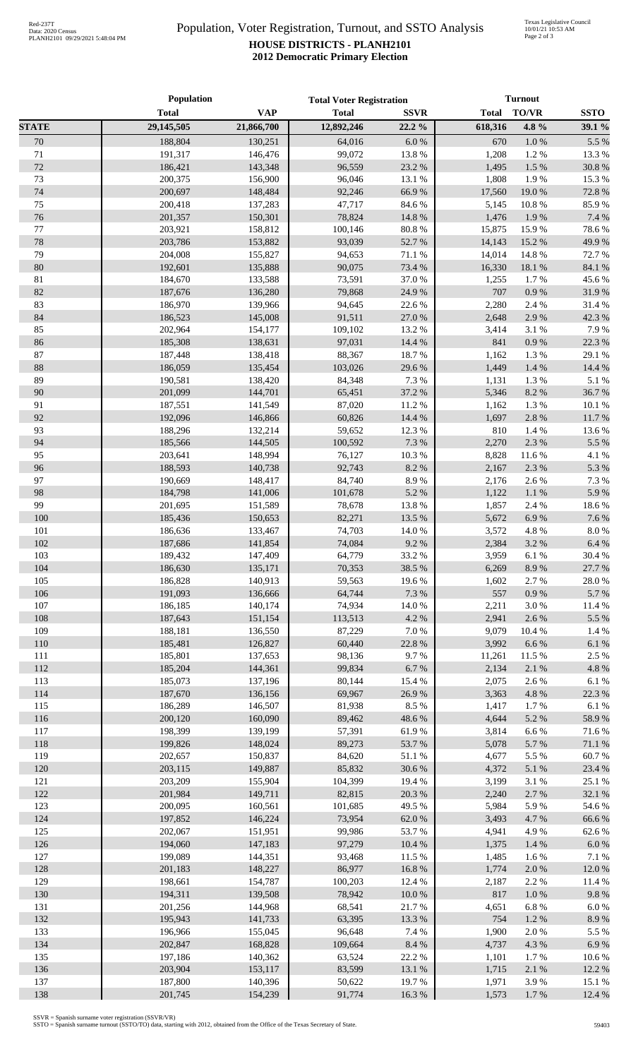## Population, Voter Registration, Turnout, and SSTO Analysis **HOUSE DISTRICTS - PLANH2101 2012 Democratic Primary Election**

|              | Population         |                    | <b>Total Voter Registration</b> |                  | <b>Turnout</b> |                |                    |
|--------------|--------------------|--------------------|---------------------------------|------------------|----------------|----------------|--------------------|
|              | <b>Total</b>       | <b>VAP</b>         | <b>Total</b>                    | <b>SSVR</b>      | <b>Total</b>   | TO/VR          | <b>SSTO</b>        |
| <b>STATE</b> | 29,145,505         | 21,866,700         | 12,892,246                      | 22.2%            | 618,316        | 4.8 %          | 39.1 %             |
| 70           | 188,804            | 130,251            | 64,016                          | 6.0 %            | 670            | 1.0%           | 5.5 %              |
| 71           | 191,317            | 146,476            | 99,072                          | 13.8%            | 1,208          | 1.2%           | 13.3 %             |
| 72           | 186,421            | 143,348            | 96,559                          | 23.2 %           | 1,495          | 1.5 %          | 30.8%              |
| 73           | 200,375            | 156,900            | 96,046                          | 13.1 %           | 1,808          | 1.9%           | 15.3%              |
| 74           | 200,697            | 148,484            | 92,246                          | 66.9%            | 17,560         | 19.0%          | 72.8%              |
| 75           | 200,418            | 137,283            | 47,717                          | 84.6 %           | 5,145          | 10.8%          | 85.9%              |
| 76           | 201,357            | 150,301            | 78,824                          | 14.8 %           | 1,476          | 1.9%           | 7.4 %              |
| 77           | 203,921            | 158,812            | 100,146                         | $80.8~\%$        | 15,875         | 15.9%          | 78.6%              |
| 78           | 203,786            | 153,882            | 93,039                          | 52.7%            | 14,143         | 15.2 %         | 49.9%              |
| 79           | 204,008            | 155,827            | 94,653                          | 71.1 %           | 14,014         | 14.8%          | 72.7 %             |
| 80           | 192,601            | 135,888            | 90,075                          | 73.4 %           | 16,330         | 18.1 %         | 84.1 %             |
| 81           | 184,670            | 133,588            | 73,591                          | 37.0%            | 1,255          | 1.7%           | 45.6%              |
| 82           | 187,676            | 136,280            | 79,868                          | 24.9%            | 707            | 0.9%           | 31.9%              |
| 83           | 186,970            | 139,966            | 94,645                          | 22.6 %           | 2,280          | 2.4 %          | 31.4%              |
| 84           | 186,523            | 145,008            | 91,511                          | 27.0%            | 2,648          | 2.9%           | 42.3 %             |
| 85           | 202,964            | 154,177            | 109,102                         | 13.2 %           | 3,414          | 3.1 %          | 7.9%               |
| 86           | 185,308            | 138,631            | 97,031                          | 14.4 %           | 841            | 0.9%           | 22.3 %             |
| 87           | 187,448            | 138,418            | 88,367                          | 18.7%            | 1,162          | 1.3 %          | 29.1 %             |
| $88\,$       | 186,059            | 135,454            | 103,026                         | 29.6%            | 1,449          | 1.4%           | 14.4 %             |
| 89           | 190,581            | 138,420            | 84,348                          | 7.3 %            | 1,131          | 1.3 %          | 5.1 %              |
| 90           | 201,099            | 144,701            | 65,451                          | 37.2 %           | 5,346          | 8.2%           | 36.7%              |
| 91<br>92     | 187,551            | 141,549            | 87,020                          | 11.2 %<br>14.4 % | 1,162          | 1.3 %          | $10.1~\%$          |
| 93           | 192,096<br>188,296 | 146,866<br>132,214 | 60,826<br>59,652                | 12.3 %           | 1,697<br>810   | 2.8 %<br>1.4 % | 11.7%<br>13.6%     |
| 94           | 185,566            | 144,505            | 100,592                         | 7.3 %            | 2,270          | 2.3 %          | 5.5 %              |
| 95           | 203,641            | 148,994            | 76,127                          | $10.3~\%$        | 8,828          | 11.6%          | 4.1 %              |
| 96           | 188,593            | 140,738            | 92,743                          | 8.2%             | 2,167          | 2.3 %          | 5.3 %              |
| 97           | 190,669            | 148,417            | 84,740                          | 8.9%             | 2,176          | 2.6%           | 7.3 %              |
| 98           | 184,798            | 141,006            | 101,678                         | 5.2 %            | 1,122          | $1.1~\%$       | 5.9%               |
| 99           | 201,695            | 151,589            | 78,678                          | 13.8 %           | 1,857          | 2.4 %          | 18.6%              |
| 100          | 185,436            | 150,653            | 82,271                          | 13.5 %           | 5,672          | 6.9%           | 7.6%               |
| 101          | 186,636            | 133,467            | 74,703                          | 14.0 %           | 3,572          | 4.8 %          | $8.0\ \%$          |
| 102          | 187,686            | 141,854            | 74,084                          | 9.2%             | 2,384          | 3.2%           | 6.4%               |
| 103          | 189,432            | 147,409            | 64,779                          | 33.2 %           | 3,959          | 6.1%           | 30.4 %             |
| 104          | 186,630            | 135,171            | 70,353                          | 38.5 %           | 6,269          | 8.9%           | 27.7 %             |
| 105          | 186,828            | 140,913            | 59,563                          | 19.6%            | 1,602          | 2.7 %          | 28.0%              |
| 106          | 191,093            | 136,666            | 64,744                          | 7.3 %            | 557            | $0.9\ \%$      | 5.7%               |
| 107          | 186,185            | 140,174            | 74,934                          | $14.0\ \%$       | 2,211          | 3.0%           | 11.4 %             |
| 108          | 187,643            | 151,154            | 113,513                         | 4.2 %            | 2,941          | 2.6 %          | 5.5 %              |
| 109          | 188,181            | 136,550            | 87,229                          | 7.0 %            | 9,079          | 10.4 %         | 1.4 %              |
| 110          | 185,481            | 126,827            | 60,440                          | 22.8 %           | 3,992          | 6.6%           | $6.1~\%$           |
| 111          | 185,801            | 137,653            | 98,136                          | 9.7%             | 11,261         | 11.5 %         | 2.5 %              |
| 112          | 185,204            | 144,361            | 99,834                          | $6.7~\%$         | 2,134          | $2.1~\%$       | 4.8 %              |
| 113          | 185,073            | 137,196            | 80,144                          | 15.4 %           | 2,075          | 2.6%           | 6.1%               |
| 114          | 187,670            | 136,156            | 69,967                          | 26.9%            | 3,363          | 4.8 %          | 22.3 %             |
| 115          | 186,289            | 146,507            | 81,938                          | 8.5 %            | 1,417          | 1.7%           | 6.1%               |
| 116          | 200,120            | 160,090            | 89,462                          | 48.6%            | 4,644          | 5.2 %          | 58.9%              |
| 117          | 198,399            | 139,199            | 57,391                          | 61.9%            | 3,814          | 6.6%           | 71.6%              |
| 118          | 199,826            | 148,024            | 89,273                          | 53.7%            | 5,078          | 5.7 %          | $71.1\text{ }\%$   |
| 119          | 202,657            | 150,837            | 84,620                          | 51.1%            | 4,677          | 5.5 %          | 60.7%              |
| 120          | 203,115            | 149,887            | 85,832                          | 30.6%            | 4,372          | $5.1~\%$       | 23.4 %             |
| 121          | 203,209            | 155,904            | 104,399                         | 19.4%            | 3,199          | 3.1 %          | 25.1 %             |
| 122          | 201,984            | 149,711            | 82,815                          | 20.3 %           | 2,240          | 2.7%           | 32.1 %             |
| 123<br>124   | 200,095            | 160,561            | 101,685                         | 49.5 %           | 5,984          | 5.9%           | 54.6 %             |
|              | 197,852            | 146,224            | 73,954                          | 62.0%            | 3,493          | 4.7%           | 66.6%              |
| 125<br>126   | 202,067<br>194,060 | 151,951<br>147,183 | 99,986<br>97,279                | 53.7%<br>10.4 %  | 4,941<br>1,375 | 4.9%<br>1.4%   | 62.6%<br>$6.0\ \%$ |
| 127          | 199,089            |                    |                                 |                  |                |                |                    |
| 128          | 201,183            | 144,351<br>148,227 | 93,468<br>86,977                | 11.5 %<br>16.8%  | 1,485          | 1.6%<br>2.0 %  | 7.1 %<br>12.0%     |
| 129          | 198,661            | 154,787            | 100,203                         | 12.4 %           | 1,774<br>2,187 | 2.2 %          | 11.4 %             |
| 130          | 194,311            | 139,508            | 78,942                          | $10.0\ \%$       | 817            | 1.0%           | 9.8%               |
| 131          | 201,256            | 144,968            | 68,541                          | 21.7%            | 4,651          | 6.8%           | 6.0%               |
| 132          | 195,943            | 141,733            | 63,395                          | 13.3 %           | 754            | $1.2~\%$       | 8.9%               |
| 133          | 196,966            | 155,045            | 96,648                          | 7.4 %            | 1,900          | 2.0%           | 5.5 %              |
| 134          | 202,847            | 168,828            | 109,664                         | 8.4 %            | 4,737          | 4.3 %          | 6.9%               |
| 135          | 197,186            | 140,362            | 63,524                          | 22.2%            | 1,101          | 1.7%           | 10.6%              |
| 136          | 203,904            | 153,117            | 83,599                          | 13.1 %           | 1,715          | $2.1~\%$       | 12.2 %             |
| 137          | 187,800            | 140,396            | 50,622                          | 19.7%            | 1,971          | 3.9%           | 15.1 %             |
| 138          | 201,745            | 154,239            | 91,774                          | 16.3%            | 1,573          | 1.7%           | 12.4 %             |